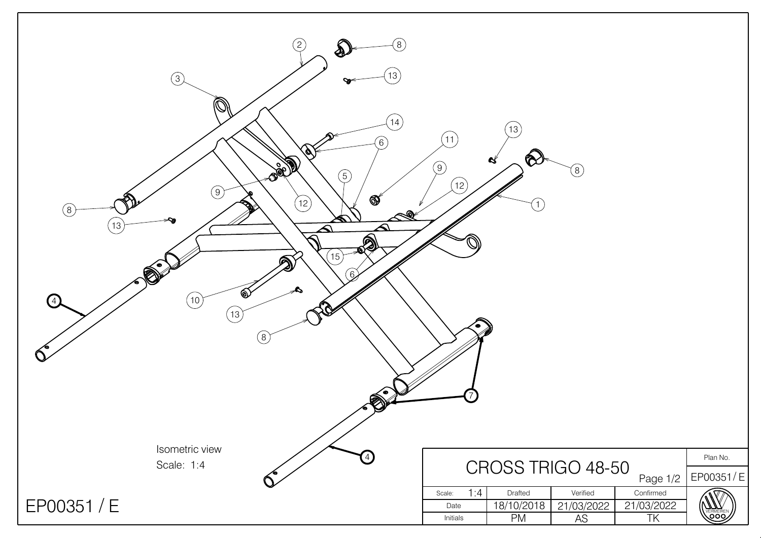| $\left( 2\right)$<br>$\left(8\right)$<br>13<br>$\circled{3}$<br>$\mathbb{Q}$<br>14<br>6)<br>Í)<br><b>Deep</b><br>$\binom{5}{ }$<br>$\circled{9}$<br>X<br>$\bigotimes$<br>(12)<br><b>REPAIR</b><br>$\circledS$<br>$\frac{1}{\sqrt{2}}$<br>$\mathbb{Z}$<br>$\left(13\right)$<br>$\overline{\blacktriangle}$<br><b>AP</b><br>(15)<br>$\odot$<br>ඁ෯<br>4<br>(10)<br>(13)<br>(8)<br>◚ | 11<br>(9)<br>(12)<br>۰            | 13<br>$\infty$<br>$\mathbf{g}$<br>$\left(1\right)$ | $\circled{8}$                |                                                  |                             |
|----------------------------------------------------------------------------------------------------------------------------------------------------------------------------------------------------------------------------------------------------------------------------------------------------------------------------------------------------------------------------------|-----------------------------------|----------------------------------------------------|------------------------------|--------------------------------------------------|-----------------------------|
| Isometric view<br>$\left( 4\right)$<br>Scale: 1:4                                                                                                                                                                                                                                                                                                                                |                                   | CROSS TRIGO 48-50                                  |                              |                                                  | Plan No.                    |
| EP00351 / E                                                                                                                                                                                                                                                                                                                                                                      | 1:4<br>Scale:<br>Date<br>Initials | Drafted<br>18/10/2018<br>PM                        | Verified<br>21/03/2022<br>AS | Page 1/2<br>Confirmed<br>21/03/2022<br><b>TK</b> | EP00351/E<br>ERMEIRE<br>QOQ |